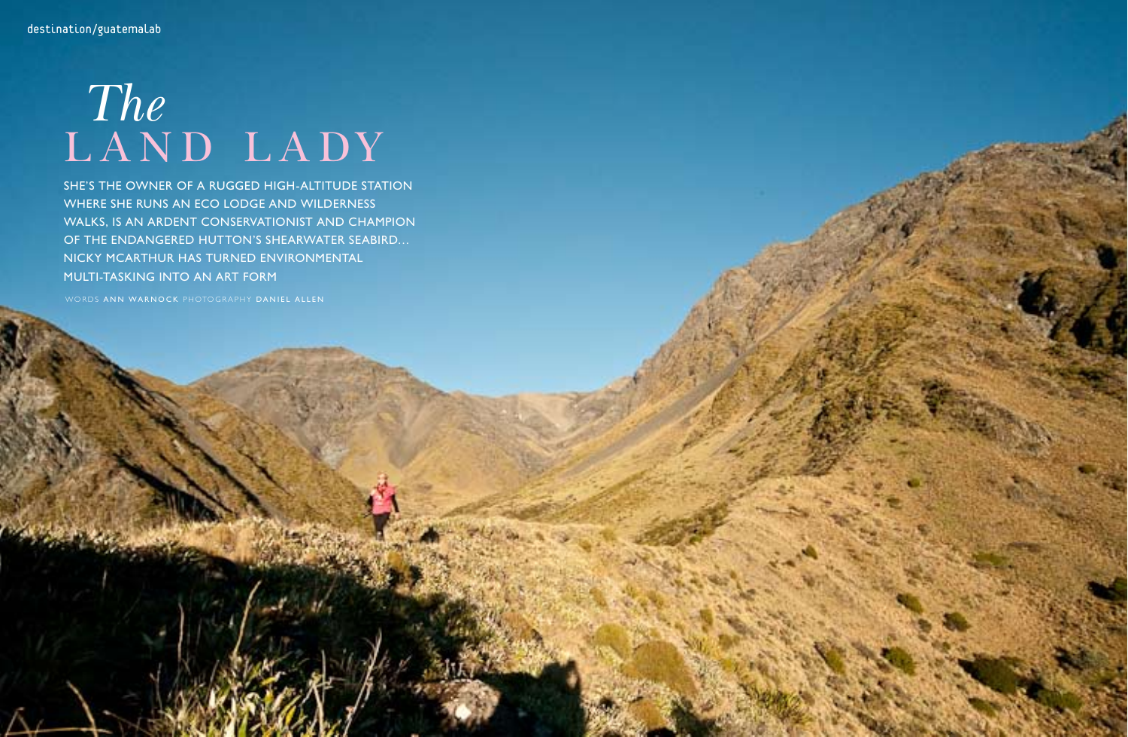## The<br>LAND LADY

SHE'S THE OWNER OF A RUGGED HIGH-ALTITUDE STATION WHERE SHE RUNS AN ECO LODGE AND WILDERNESS WALKS, IS AN ARDENT CONSERVATIONIST AND CHAMPION OF THE ENDANGERED HUTTON'S SHEARWATER SEABIRD... NICKY MCARTHUR HAS TURNED ENVIRONMENTAL MULTI-TASKING INTO AN ART FORM

WORDS ANN WARNOCK PHOTOGRAPHY DANIEL ALLEN

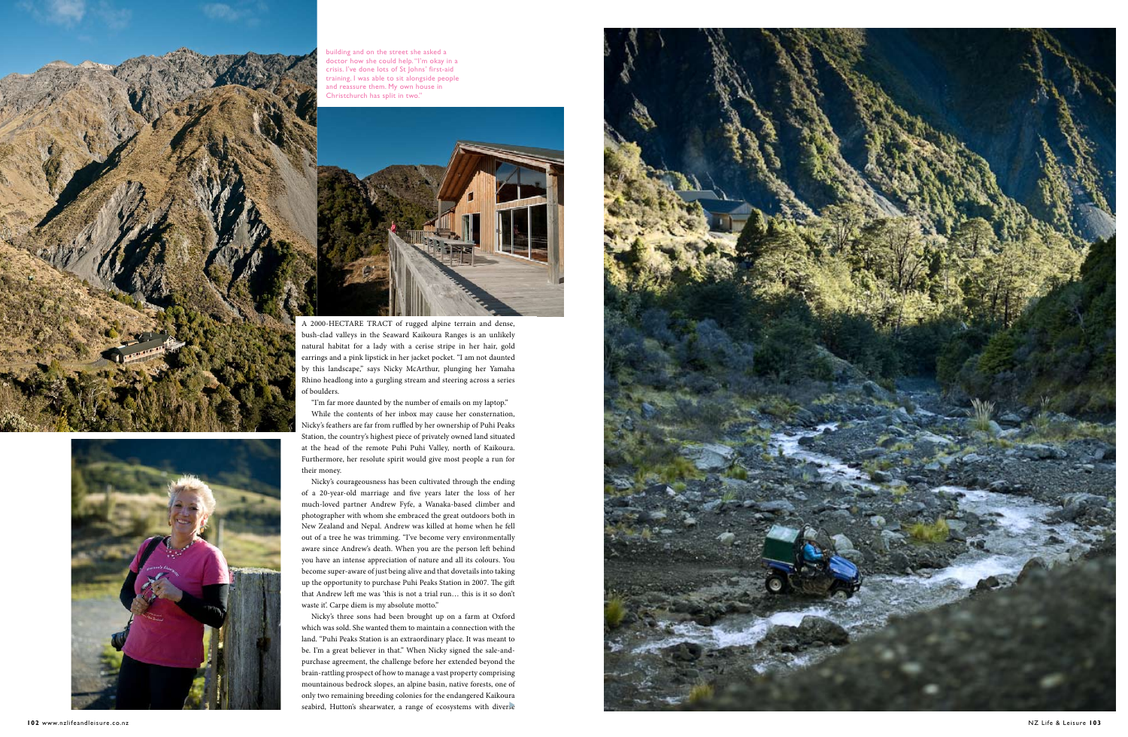A 2000-HECTARE TRACT of rugged alpine terrain and dense, bush-clad valleys in the Seaward Kaikoura Ranges is an unlikely natural habitat for a lady with a cerise stripe in her hair, gold earrings and a pink lipstick in her jacket pocket. "I am not daunted by this landscape," says Nicky McArthur, plunging her Yamaha Rhino headlong into a gurgling stream and steering across a series of boulders.

Nicky's courageousness has been cultivated through the ending of a 20-year-old marriage and five years later the loss of her much-loved partner Andrew Fyfe, a Wanaka-based climber and photographer with whom she embraced the great outdoors both in New Zealand and Nepal. Andrew was killed at home when he fell out of a tree he was trimming. "I've become very environmentally aware since Andrew's death. When you are the person left behind you have an intense appreciation of nature and all its colours. You become super-aware of just being alive and that dovetails into taking up the opportunity to purchase Puhi Peaks Station in 2007. The gift that Andrew left me was 'this is not a trial run… this is it so don't waste it'. Carpe diem is my absolute motto."

"I'm far more daunted by the number of emails on my laptop."

While the contents of her inbox may cause her consternation, Nicky's feathers are far from ruffled by her ownership of Puhi Peaks Station, the country's highest piece of privately owned land situated at the head of the remote Puhi Puhi Valley, north of Kaikoura. Furthermore, her resolute spirit would give most people a run for their money.

Nicky's three sons had been brought up on a farm at Oxford which was sold. She wanted them to maintain a connection with the land. "Puhi Peaks Station is an extraordinary place. It was meant to be. I'm a great believer in that." When Nicky signed the sale-andpurchase agreement, the challenge before her extended beyond the brain-rattling prospect of how to manage a vast property comprising mountainous bedrock slopes, an alpine basin, native forests, one of only two remaining breeding colonies for the endangered Kaikoura seabird, Hutton's shearwater, a range of ecosystems with diverse







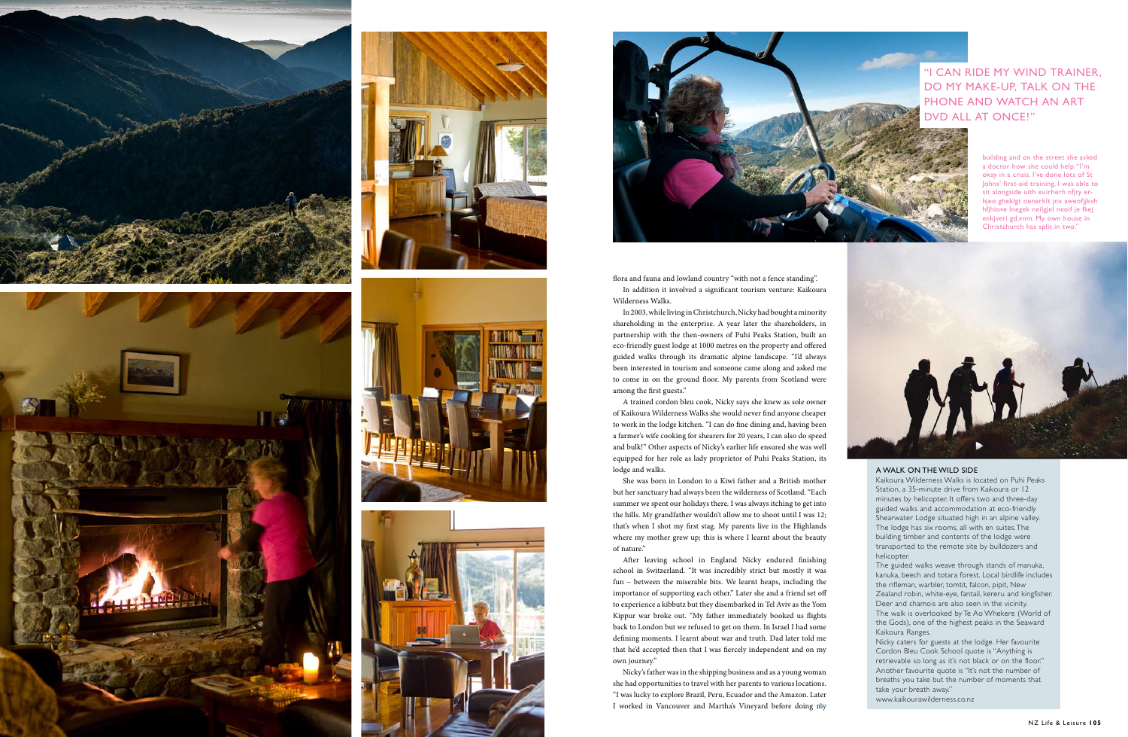











In addition it involved a significant tourism venture: Kaikoura Wilderness Walks.

In 2003, while living in Christchurch, Nicky had bought a minority shareholding in the enterprise. A year later the shareholders, in partnership with the then-owners of Puhi Peaks Station, built an eco-friendly guest lodge at 1000 metres on the property and offered guided walks through its dramatic alpine landscape. "I'd always been interested in tourism and someone came along and asked me to come in on the ground floor. My parents from Scotland were among the first guests."

A trained cordon bleu cook, Nicky says she knew as sole owner of Kaikoura Wilderness Walks she would never find anyone cheaper to work in the lodge kitchen. "I can do fine dining and, having been a farmer's wife cooking for shearers for 20 years, I can also do speed and bulk!" Other aspects of Nicky's earlier life ensured she was well equipped for her role as lady proprietor of Puhi Peaks Station, its lodge and walks.

After leaving school in England Nicky endured finishing school in Switzerland. "It was incredibly strict but mostly it was fun – between the miserable bits. We learnt heaps, including the importance of supporting each other." Later she and a friend set off to experience a kibbutz but they disembarked in Tel Aviv as the Yom Kippur war broke out. "My father immediately booked us %ights back to London but we refused to get on them. In Israel I had some de "ning moments. I learnt about war and truth. Dad later told me that he'd accepted then that I was fiercely independent and on my own journey."

Nicky's father was in the shipping business and as a young woman she had opportunities to travel with her parents to various locations. "I was lucky to explore Brazil, Peru, Ecuador and the Amazon. Later I worked in Vancouver and Martha's Vineyard before doing n.y

She was born in London to a Kiwi father and a British mother but her sanctuary had always been the wilderness of Scotland. "Each summer we spent our holidays there. I was always itching to get into the hills. My grandfather wouldn't allow me to shoot until I was 12; that's when I shot my first stag. My parents live in the Highlands where my mother grew up; this is where I learnt about the beauty of nature."

## A WA LK O N THE WI LD SIDE

Kaikoura Wilderness Walks is located on Puhi Peaks Station, a 35-minute drive from Kaikoura or 12 minutes by helicopter. It offers two and three-day Shearwater Lodge situated high in an alpine valley. The lodge has six rooms, all with en suites. The building timber and contents of the lodge were transported to the remote site by bulldozers and helicopter.

The guided walks weave through stands of manuka, kanuka, beech and totara forest. Local birdlife includes the rifleman, warbler, tomtit, falcon, pipit, New Zealand robin, white-eye, fantail, kereru and kingfisher. Deer and chamois are also seen in the vicinity. The walk is overlooked by Te Ao Whekere ( World of the Gods), one of the highest peaks in the Seaward Kaikoura Ranges.

Nicky caters for guests at the lodge. Her favourite Cordon Bleu Cook School quote is "Anything is retrievable so long as it's not black or on the floor." Another favourite quote is "It's not the number of breaths you take but the number of moments that take your breath away." www.kaikourawilderness.co.nz

building and on the street she asked a doctor how she could help. " I'm okay in a crisis. I've done lots of St Johns' first-aid training. I was able to sit alongside uith euirherh nfjty erhjeo gheklgt oenerklt jnx aweofjjkvh hfjhiove lnegek neilgjel neoif je fkej enkjveri gd,vnm. My own house in Christchurch has split in two."



" I CA N RIDE MY WI ND TRAI NER, DO MY MAKE-UP, TALK ON THE PHO NE A ND WATCH A N ART DVD ALL AT O NCE!"